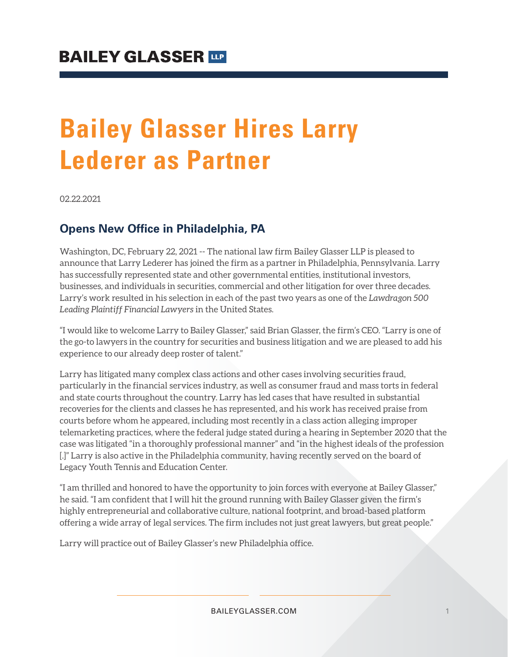# **Bailey Glasser Hires Larry Lederer as Partner**

02.22.2021

### **Opens New Office in Philadelphia, PA**

Washington, DC, February 22, 2021 -- The national law firm Bailey Glasser LLP is pleased to announce that Larry Lederer has joined the firm as a partner in Philadelphia, Pennsylvania. Larry has successfully represented state and other governmental entities, institutional investors, businesses, and individuals in securities, commercial and other litigation for over three decades. Larry's work resulted in his selection in each of the past two years as one of the *Lawdragon 500 Leading Plaintiff Financial Lawyers* in the United States.

"I would like to welcome Larry to Bailey Glasser," said Brian Glasser, the firm's CEO. "Larry is one of the go-to lawyers in the country for securities and business litigation and we are pleased to add his experience to our already deep roster of talent."

Larry has litigated many complex class actions and other cases involving securities fraud, particularly in the financial services industry, as well as consumer fraud and mass torts in federal and state courts throughout the country. Larry has led cases that have resulted in substantial recoveries for the clients and classes he has represented, and his work has received praise from courts before whom he appeared, including most recently in a class action alleging improper telemarketing practices, where the federal judge stated during a hearing in September 2020 that the case was litigated "in a thoroughly professional manner" and "in the highest ideals of the profession [.]" Larry is also active in the Philadelphia community, having recently served on the board of Legacy Youth Tennis and Education Center.

"I am thrilled and honored to have the opportunity to join forces with everyone at Bailey Glasser," he said. "I am confident that I will hit the ground running with Bailey Glasser given the firm's highly entrepreneurial and collaborative culture, national footprint, and broad-based platform offering a wide array of legal services. The firm includes not just great lawyers, but great people."

Larry will practice out of Bailey Glasser's new Philadelphia office.